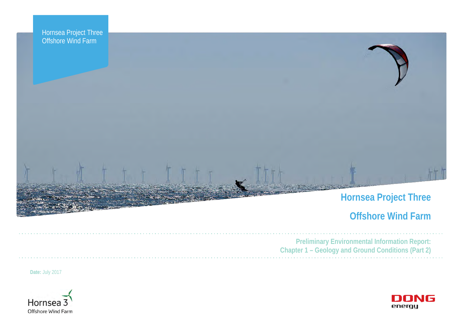



# **Hornsea Project Three**

# **Offshore Wind Farm**



**Preliminary Environmental Information Report: Chapter 1 – Geology and Ground Conditions (Part 2)**

**Date:** July 2017



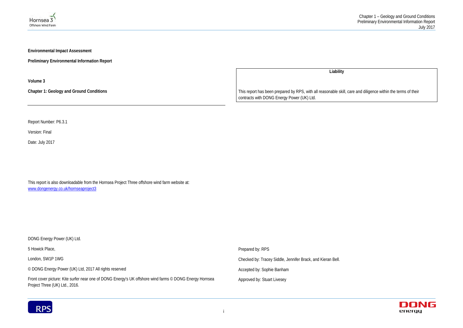



**Environmental Impact Assessment** 

**Preliminary Environmental Information Report**

**Volume 3**

**Chapter 1: Geology and Ground Conditions**

Report Number: P6.3.1

Version: Final

Date: July 2017

This report is also downloadable from the Hornsea Project Three offshore wind farm website at: [www.dongenergy.co.uk/hornseaproject3](http://www.dongenergy.co.uk/hornsea-project-three-development)

**Liability**

DONG Energy Power (UK) Ltd. 5 Howick Place, London, SW1P 1WG © DONG Energy Power (UK) Ltd, 2017 All rights reserved Front cover picture: Kite surfer near one of DONG Energy's UK offshore wind farms © DONG Energy Hornsea Project Three (UK) Ltd., 2016. Prepared by: RPS Checked by: Tracey Siddle, Jennifer Brack, and Kieran Bell. Accepted by: Sophie Banham Approved by: Stuart Livesey



This report has been prepared by RPS, with all reasonable skill, care and diligence within the terms of their contracts with DONG Energy Power (UK) Ltd.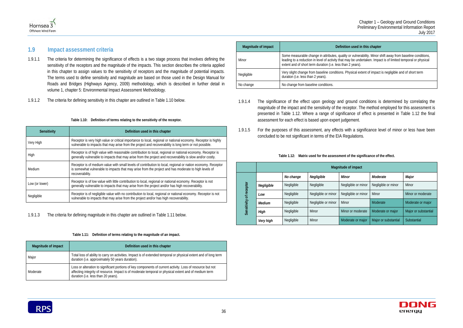### **waged in this chapter**

vulnerability. Minor shift away from baseline conditions, be undertaken. Impact is of limited temporal or physical years).

sical extent of impact is negligible and of short term

| the significance of the effect. |  |
|---------------------------------|--|
|                                 |  |





# **1.9 Impact assessment criteria**

- 1.9.1.1 The criteria for determining the significance of effects is a two stage process that involves defining the sensitivity of the receptors and the magnitude of the impacts. This section describes the criteria applied in this chapter to assign values to the sensitivity of receptors and the magnitude of potential impacts. The terms used to define sensitivity and magnitude are based on those used in the Design Manual for Roads and Bridges (Highways Agency, 2009) methodology, which is described in further detail in volume 1, chapter 5: Environmental Impact Assessment Methodology.
- 1.9.1.2 The criteria for defining sensitivity in this chapter are outlined in [Table 1.10](#page-2-0) below.

### **Table 1.10: Definition of terms relating to the sensitivity of the receptor.**

<span id="page-2-0"></span>

| Sensitivity    | Definition used in this chapter                                                                                                                                                                                                         |
|----------------|-----------------------------------------------------------------------------------------------------------------------------------------------------------------------------------------------------------------------------------------|
| Very High      | Receptor is very high value or critical importance to local, regional or national economy. Receptor is highly<br>vulnerable to impacts that may arise from the project and recoverability is long term or not possible.                 |
| High           | Receptor is of high value with reasonable contribution to local, regional or national economy. Receptor is<br>generally vulnerable to impacts that may arise from the project and recoverability is slow and/or costly.                 |
| Medium         | Receptor is of medium value with small levels of contribution to local, regional or nation economy. Receptor<br>is somewhat vulnerable to impacts that may arise from the project and has moderate to high levels of<br>recoverability. |
| Low (or lower) | Receptor is of low value with little contribution to local, regional or national economy. Receptor is not<br>generally vulnerable to impacts that may arise from the project and/or has high recoverability.                            |
| Negligible     | Receptor is of negligible value with no contribution to local, regional or national economy. Receptor is not<br>vulnerable to impacts that may arise from the project and/or has high recoverability.                                   |

1.9.1.3 The criteria for defining magnitude in this chapter are outlined in [Table 1.11](#page-2-1) below.

| Table 1.11: Definition of terms relating to the magnitude of an impact. |  |  |
|-------------------------------------------------------------------------|--|--|
|                                                                         |  |  |

<span id="page-2-1"></span>

| <b>Magnitude of impact</b> | Definition used in this chapter                                                                                                                                                                                                                            |  |  |  |  |
|----------------------------|------------------------------------------------------------------------------------------------------------------------------------------------------------------------------------------------------------------------------------------------------------|--|--|--|--|
| Major                      | Total loss of ability to carry on activities. Impact is of extended temporal or physical extent and of long term<br>duration (i.e. approximately 50 years duration).                                                                                       |  |  |  |  |
| Moderate                   | Loss or alteration to significant portions of key components of current activity. Loss of resource but not<br>affecting integrity of resource. Impact is of moderate temporal or physical extent and of medium term<br>duration (i.e. less than 20 years). |  |  |  |  |

| Magnitude of impact | <b>Definition</b>                                                                                                                                               |
|---------------------|-----------------------------------------------------------------------------------------------------------------------------------------------------------------|
| Minor               | Some measurable change in attributes, quality or<br>leading to a reduction in level of activity that may<br>extent and of short term duration (i.e. less than 2 |
| Negligible          | Very slight change from baseline conditions. Phy<br>duration (i.e. less than 2 years).                                                                          |
| No change           | No change from baseline conditions.                                                                                                                             |

- 1.9.1.4 The significance of the effect upon geology and ground conditions is determined by correlating the magnitude of the impact and the sensitivity of the receptor. The method employed for this assessment is presented in [Table 1.12.](#page-2-2) Where a range of significance of effect is presented in [Table 1.12](#page-2-2) the final assessment for each effect is based upon expert judgement.
- 1.9.1.5 For the purposes of this assessment, any effects with a significance level of minor or less have been concluded to be not significant in terms of the EIA Regulations.

### Table 1.12: Matrix used for the assessment of

<span id="page-2-2"></span>

|                         | Magnitude of impact |            |                     |                     |                      |                      |
|-------------------------|---------------------|------------|---------------------|---------------------|----------------------|----------------------|
|                         |                     | No change  | Negligible          | Minor               | Moderate             | Major                |
|                         | Negligible          | Negligible | Negligible          | Negligible or minor | Negligible or minor  | Minor                |
| Sensitivity of receptor | Low                 | Negligible | Negligible or minor | Negligible or minor | Minor                | Minor or moderate    |
|                         | Medium              | Negligible | Negligible or minor | Minor               | Moderate             | Moderate or major    |
|                         | High                | Negligible | Minor               | Minor or moderate   | Moderate or major    | Major or substantial |
|                         | Very high           | Negligible | Minor               | Moderate or major   | Major or substantial | Substantial          |

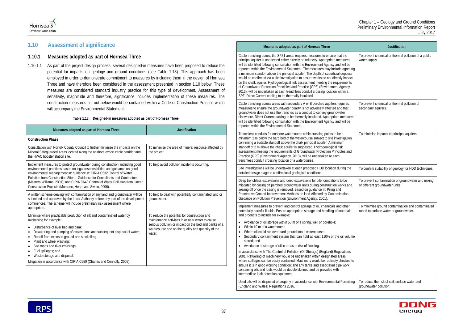1.10.1.1 As part of the project design process, several designed-in measures have been proposed to reduce the potential for impacts on geology and ground conditions (see [Table 1.13\)](#page-3-0). This approach has been employed in order to demonstrate commitment to measures by including them in the design of Hornsea Three and have therefore been considered in the assessment presented in section [1.10](#page-3-1) below. These measures are considered standard industry practice for this type of development. Assessment of sensitivity, magnitude and therefore, significance includes implementation of these measures. The construction measures set out below would be contained within a Code of Construction Practice which will accompany the Environmental Statement.



# <span id="page-3-1"></span>**1.10 Assessment of significance**

### **1.10.1 Measures adopted as part of Hornsea Three**

### **Table 1.13: Designed-in measures adopted as part of Hornsea Three.**

<span id="page-3-2"></span><span id="page-3-0"></span>

| Measures adopted as part of Hornsea Three                                                                                                                                                                                                                                                                                                                                                                                                                                     | <b>Justification</b>                                                                                                                                                                                                      |  |
|-------------------------------------------------------------------------------------------------------------------------------------------------------------------------------------------------------------------------------------------------------------------------------------------------------------------------------------------------------------------------------------------------------------------------------------------------------------------------------|---------------------------------------------------------------------------------------------------------------------------------------------------------------------------------------------------------------------------|--|
| <b>Construction Phase</b>                                                                                                                                                                                                                                                                                                                                                                                                                                                     |                                                                                                                                                                                                                           |  |
| Consultation with Norfolk County Council to further minimise the impacts on the<br>Mineral Safeguarded Areas located along the onshore export cable corridor and<br>the HVAC booster station site.                                                                                                                                                                                                                                                                            | To minimise the area of mineral resource affected by<br>the project.                                                                                                                                                      |  |
| Implement measures to protect groundwater during construction, including good<br>environmental practices based on legal responsibilities and guidance on good<br>environmental management in: guidance in: CIRIA C532 Control of Water<br>Pollution from Construction Sites – Guidance for Consultants and Contractors<br>(Masters-Williams, 2001); and CIRIA C648 Control of Water Pollution from Linear<br>Construction Projects (Murnane, Heap, and Swain, 2006).          | To help avoid pollution incidents occurring.                                                                                                                                                                              |  |
| A written scheme dealing with contamination of any land and groundwater will be<br>submitted and approved by the Local Authority before any part of the development<br>commences. The scheme will include preliminary risk assessment where<br>appropriate.                                                                                                                                                                                                                   | To help to deal with potentially contaminated land or<br>groundwater.                                                                                                                                                     |  |
| Minimise where practicable production of silt and contaminated water by<br>minimising for example:<br>Disturbance of river bed and bank;<br>Dewatering and pumping of excavations and subsequent disposal of water;<br>Runoff from exposed ground and stockpiles;<br>$\bullet$<br>Plant and wheel washing;<br>Site roads and river crossings;<br>Fuel spillages; and<br>Waste storage and disposal.<br>Mitigation in accordance with CIRIA C650 (Charles and Connolly, 2005). | To reduce the potential for construction and<br>maintenance activities in or near water to cause<br>serious pollution or impact on the bed and banks of a<br>watercourse and on the quality and quantity of the<br>water. |  |

### **Measures adopted as part of Hornsea Three**

Cable trenching across the SPZ1 areas requires measures to ensure that the principal aquifer is unaffected either directly or indirectly. Appropriate measures will be identified following consultation with the Environment Agency and will be reported within the Environmental Statement. The measures may include agree a minimum standoff above the principal aquifer. The depth of superficial deposit would be confirmed via a site investigation to ensure works do not directly impact on the chalk aquifer. Hydrogeological risk assessment meeting the requirement of Groundwater Protection Principles and Practice (GP3) (Environment Agency, 2013), will be undertaken at each trenchless conduit crossing location within a SPZ. Direct Current cabling to be thermally insulated.

Used oils will be disposed of properly in accordance with Environmental Permitt (England and Wales) Regulations 2016.



Cable trenching across areas with secondary A or B perched aquifers requires measures to ensure the groundwater quality is not adversely affected and that groundwater does not use the trenches as a conduit to convey groundwater elsewhere. Direct Current cabling to be thermally insulated. Appropriate measure will be identified following consultation with the Environment Agency and will be reported within the Environmental Statement.

Trenchless conduits for onshore watercourse cable crossing points to be a minimum 2 m below the hard bed of the watercourse subject to site investigation confirming a suitable standoff above the chalk principal aquifer. A minimum standoff of 2 m above the chalk aquifer is suggested. Hydrogeological risk assessment meeting the requirements of Groundwater Protection Principles and Practice (GP3) (Environment Agency, 2013), will be undertaken at each trenchless conduit crossing location of a watercourse.

Site investigations will be undertaken at each proposed HDD location during the detailed design stage to confirm local geological conditions.

|                                             | <b>Justification</b>                                                                         |
|---------------------------------------------|----------------------------------------------------------------------------------------------|
| eing<br>ts<br>ıct<br>.<br>S<br>$\mathbf{r}$ | To prevent chemical or thermal pollution of a public<br>water supply.                        |
|                                             | To prevent chemical or thermal pollution of<br>secondary aquifers.                           |
| res                                         |                                                                                              |
| n                                           | To minimise impacts to principal aquifers.                                                   |
| d                                           |                                                                                              |
| ë                                           | To confirm suitability of geology for HDD techniques.                                        |
| ıd                                          | To prevent contamination of groundwater and mixing<br>of different groundwater units.        |
| Ś                                           | To minimise ground contamination and contaminated<br>runoff to surface water or groundwater. |
| ıme                                         |                                                                                              |
| ś                                           |                                                                                              |
| l to                                        |                                                                                              |
| ting                                        | To reduce the risk of soil, surface water and<br>groundwater pollution.                      |



Deep trenchless excavations and deep excavations for pile foundations to be mitigated by casing off perched groundwater units during construction works an sealing off once the casing is removed. Based on guidance in: Piling and Penetrative Ground Improvement Methods on land Affected by Contamination: Guidance on Pollution Prevention (Environment Agency, 2001).

Implement measures to prevent and control spillage of oil, chemicals and other potentially harmful liquids. Ensure appropriate storage and handling of materials and products to include for example:

- Avoidance of oil storage within 50 m of a spring, well or borehole;
- Within 10 m of a watercourse
- Where oil could run over hard ground into a watercourse;
- Secondary containment system that can hold at least 110% of the oil volu stored; and
- Avoidance of storage of oil in areas at risk of flooding.

In accordance with The Control of Pollution (Oil Storage) (England) Regulations 2001. Refuelling of machinery would be undertaken within designated areas where spillages can be easily contained. Machinery would be routinely checked ensure it is in good working condition; and any tanks and associated pipe work containing oils and fuels would be double skinned and be provided with intermediate leak detection equipment.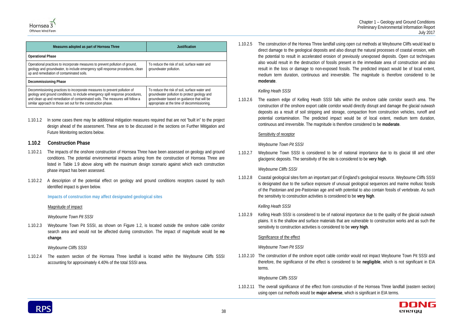



| Measures adopted as part of Hornsea Three                                                                                                                                                                                                                                                                      | Justification                                                                                                                                                                              |  |  |  |  |
|----------------------------------------------------------------------------------------------------------------------------------------------------------------------------------------------------------------------------------------------------------------------------------------------------------------|--------------------------------------------------------------------------------------------------------------------------------------------------------------------------------------------|--|--|--|--|
| <b>Operational Phase</b>                                                                                                                                                                                                                                                                                       |                                                                                                                                                                                            |  |  |  |  |
| Operational practices to incorporate measures to prevent pollution of ground,<br>geology and groundwater, to include emergency spill response procedures, clean<br>up and remediation of contaminated soils.                                                                                                   | To reduce the risk of soil, surface water and<br>groundwater pollution.                                                                                                                    |  |  |  |  |
| Decommissioning Phase                                                                                                                                                                                                                                                                                          |                                                                                                                                                                                            |  |  |  |  |
| Decommissioning practices to incorporate measures to prevent pollution of<br>geology and ground conditions, to include emergency spill response procedures,<br>and clean up and remediation of contaminated soils. The measures will follow a<br>similar approach to those set out for the construction phase. | To reduce the risk of soil, surface water and<br>groundwater pollution to protect geology and<br>groundwater based on guidance that will be<br>appropriate at the time of decommissioning. |  |  |  |  |

1.10.1.2 In some cases there may be additional mitigation measures required that are not "built in" to the project design ahead of the assessment. These are to be discussed in the sections on Further Mitigation and Future Monitoring sections below.

### **1.10.2 Construction Phase**

- 1.10.2.1 The impacts of the onshore construction of Hornsea Three have been assessed on geology and ground conditions. The potential environmental impacts arising from the construction of Hornsea Three are listed in Table 1.9 above along with the maximum design scenario against which each construction phase impact has been assessed.
- 1.10.2.2 A description of the potential effect on geology and ground conditions receptors caused by each identified impact is given below.

### **Impacts of construction may affect designated geological sites**

Magnitude of impact

*Weybourne Town Pit SSSI*

1.10.2.3 Weybourne Town Pit SSSI, as shown on Figure 1.2, is located outside the onshore cable corridor search area and would not be affected during construction. The impact of magnitude would be **no change**.

*Weybourne Cliffs SSSI*

1.10.2.4 The eastern section of the Hornsea Three landfall is located within the Weybourne Cliffs SSSI accounting for approximately 4.40% of the total SSSI area.

1.10.2.5 The construction of the Hornea Three landfall using open cut methods at Weybourne Cliffs would lead to direct damage to the geological deposits and also disrupt the natural processes of coastal erosion, with the potential to result in accelerated erosion of previously unexposed deposits. Open cut techniques also would result in the destruction of fossils present in the immediate area of construction and also result in the loss or damage to non-exposed fossils. The predicted impact would be of local extent, medium term duration, continuous and irreversible. The magnitude is therefore considered to be **moderate**.

### *Kelling Heath SSSI*

1.10.2.6 The eastern edge of Kelling Heath SSSI falls within the onshore cable corridor search area. The construction of the onshore export cable corridor would directly disrupt and damage the glacial outwash deposits as a result of soil stripping and storage, compaction from construction vehicles, runoff and potential contamination. The predicted impact would be of local extent, medium term duration, continuous and irreversible. The magnitude is therefore considered to be **moderate**.

### Sensitivity of receptor

### *Weybourne Town Pit SSSI*

1.10.2.7 Weybourne Town SSSI is considered to be of national importance due to its glacial till and other glacigenic deposits. The sensitivity of the site is considered to be **very high**.

### *Weybourne Cliffs SSSI*

1.10.2.8 Coastal geological sites form an important part of England's geological resource. Weybourne Cliffs SSSI is designated due to the surface exposure of unusual geological sequences and marine mollusc fossils of the Pastonian and pre-Pastonian age and with potential to also contain fossils of vertebrate. As such the sensitivity to construction activities is considered to be **very high**.

### *Kelling Heath SSSI*

1.10.2.9 Kelling Heath SSSI is considered to be of national importance due to the quality of the glacial outwash plains. It is the shallow and surface materials that are vulnerable to construction works and as such the sensitivity to construction activities is considered to be **very high**.

### Significance of the effect

### *Weybourne Town Pit SSSI*

1.10.2.10 The construction of the onshore export cable corridor would not impact Weybourne Town Pit SSSI and therefore, the significance of the effect is considered to be **negligible**, which is not significant in EIA terms.

### *Weybourne Cliffs SSSI*

1.10.2.11 The overall significance of the effect from construction of the Hornsea Three landfall (eastern section) using open cut methods would be **major adverse**, which is significant in EIA terms.

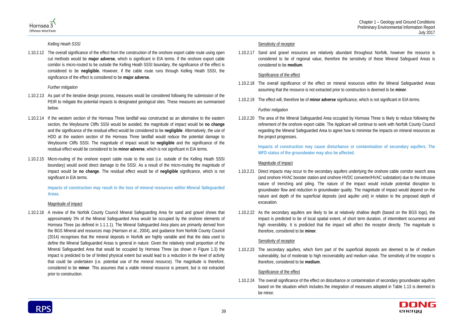



*Kelling Heath SSSI*

1.10.2.12 The overall significance of the effect from the construction of the onshore export cable route using open cut methods would be **major adverse**, which is significant in EIA terms. If the onshore export cable corridor is micro-routed to be outside the Kelling Heath SSSI boundary, the significance of the effect is considered to be **negligible.** However, if the cable route runs through Kelling Heath SSSI, the significance of the effect is considered to be **major adverse**.

### *Further mitigation*

- 1.10.2.13 As part of the iterative design process, measures would be considered following the submission of the PEIR to mitigate the potential impacts to designated geological sites. These measures are summarised below.
- 1.10.2.14 If the western section of the Hornsea Three landfall was constructed as an alternative to the eastern section, the Weybourne Cliffs SSSI would be avoided, the magnitude of impact would be **no change** and the significance of the residual effect would be considered to be **negligible**. Alternatively, the use of HDD at the eastern section of the Hornsea Three landfall would reduce the potential damage to Weybourne Cliffs SSSI. The magnitude of impact would be **negligible** and the significance of the residual effect would be considered to be **minor adverse**, which is not significant in EIA terms.
- 1.10.2.15 Micro-routing of the onshore export cable route to the east (i.e. outside of the Kelling Heath SSSI boundary) would avoid direct damage to the SSSI. As a result of the micro-routing the magnitude of impact would be **no change**. The residual effect would be of **negligible** significance, which is not significant in EIA terms.

**Impacts of construction may result in the loss of mineral resources within Mineral Safeguarded Areas.** 

### Magnitude of impact

1.10.2.16 A review of the Norfolk County Council Mineral Safeguarding Area for sand and gravel shows that approximately 3% of the Mineral Safeguarded Area would be occupied by the onshore elements of Hornsea Three (as defined in 1.1.1.1). The Mineral Safeguarded Area plans are primarily derived from the BGS Mineral and resources map (Harrison *et al.*, 2004), and guidance from Norfolk County Council (2014) recognises that the mineral deposits in Norfolk are highly variable and that the data used to define the Mineral Safeguarded Areas is general in nature. Given the relatively small proportion of the Mineral Safeguarded Area that would be occupied by Hornsea Three (as shown in Figure 1.3) the impact is predicted to be of limited physical extent but would lead to a reduction in the level of activity that could be undertaken (i.e. potential use of the mineral resource). The magnitude is therefore, considered to be **minor**. This assumes that a viable mineral resource is present, but is not extracted prior to construction.

### Sensitivity of receptor

1.10.2.17 Sand and gravel resources are relatively abundant throughout Norfolk, however the resource is considered to be of regional value, therefore the sensitivity of these Mineral Safeguard Areas is considered to be **medium**.

### Significance of the effect

- 1.10.2.18 The overall significance of the effect on mineral resources within the Mineral Safeguarded Areas assuming that the resource is not extracted prior to construction is deemed to be **minor**.
- 1.10.2.19 The effect will, therefore be of **minor adverse** significance, which is not significant in EIA terms.

### *Further mitigation*

1.10.2.20 The area of the Mineral Safeguarded Area occupied by Hornsea Three is likely to reduce following the refinement of the onshore export cable. The Applicant will continue to work with Norfolk County Council regarding the Mineral Safeguarded Area to agree how to minimise the impacts on mineral resources as the project progresses.

> **Impacts of construction may cause disturbance or contamination of secondary aquifers. The WFD status of the groundwater may also be affected.**

### Magnitude of impact

- 1.10.2.21 Direct impacts may occur to the secondary aquifers underlying the onshore cable corridor search area (and onshore HVAC booster station and onshore HVDC converter/HVAC substation) due to the intrusive nature of trenching and piling. The nature of the impact would include potential disruption to groundwater flow and reduction in groundwater quality. The magnitude of impact would depend on the nature and depth of the superficial deposits (and aquifer unit) in relation to the proposed depth of excavation.
- 1.10.2.22 As the secondary aquifers are likely to be at relatively shallow depth (based on the BGS logs), the impact is predicted to be of local spatial extent, of short term duration, of intermittent occurrence and high reversibility. It is predicted that the impact will affect the receptor directly. The magnitude is therefore, considered to be **minor**.

### Sensitivity of receptor

1.10.2.23 The secondary aquifers, which form part of the superficial deposits are deemed to be of medium vulnerability, but of moderate to high recoverability and medium value. The sensitivity of the receptor is therefore, considered to be **medium**.

### Significance of the effect

1.10.2.24 The overall significance of the effect on disturbance or contamination of secondary groundwater aquifers based on the situation which includes the integration of measures adopted in [Table 1.13](#page-3-0) is deemed to be minor.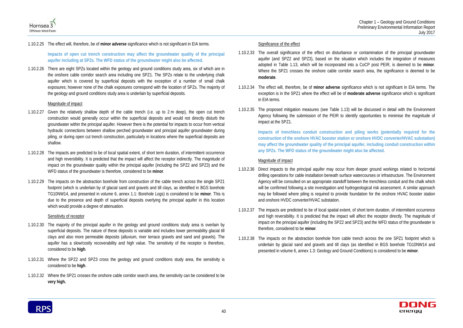



### 1.10.2.25 The effect will, therefore, be of **minor adverse** significance which is not significant in EIA terms.

**Impacts of open cut trench construction may affect the groundwater quality of the principal aquifer including at SPZs. The WFD status of the groundwater might also be affected.**

1.10.2.26 There are eight SPZs located within the geology and ground conditions study area, six of which are in the onshore cable corridor search area including one SPZ1. The SPZs relate to the underlying chalk aquifer which is covered by superficial deposits with the exception of a number of small chalk exposures; however none of the chalk exposures correspond with the location of SPZs. The majority of the geology and ground conditions study area is underlain by superficial deposits.

### Magnitude of impact

- 1.10.2.27 Given the relatively shallow depth of the cable trench (i.e. up to 2 m deep), the open cut trench construction would generally occur within the superficial deposits and would not directly disturb the groundwater within the principal aquifer. However there is the potential for impacts to occur from vertical hydraulic connections between shallow perched groundwater and principal aquifer groundwater during piling, or during open cut trench construction, particularly in locations where the superficial deposits are shallow.
- 1.10.2.28 The impacts are predicted to be of local spatial extent, of short term duration, of intermittent occurrence and high reversibility. It is predicted that the impact will affect the receptor indirectly. The magnitude of impact on the groundwater quality within the principal aquifer (including the SPZ2 and SPZ3) and the WFD status of the groundwater is therefore, considered to be **minor**.
- 1.10.2.29 The impacts on the abstraction borehole from construction of the cable trench across the single SPZ1 footprint (which is underlain by of glacial sand and gravels and till clays, as identified in BGS borehole TG10NW14, and presented in volume 6, annex 1.1: Borehole Logs) is considered to be **minor**. This is due to the presence and depth of superficial deposits overlying the principal aquifer in this location which would provide a degree of attenuation.

### Sensitivity of receptor

- 1.10.2.30 The majority of the principal aquifer in the geology and ground conditions study area is overlain by superficial deposits. The nature of these deposits is variable and includes lower permeability glacial till clays and also more permeable deposits (alluvium, river terrace gravels and sand and gravels). The aquifer has a slow/costly recoverability and high value. The sensitivity of the receptor is therefore, considered to be **high**.
- 1.10.2.31 Where the SPZ2 and SPZ3 cross the geology and ground conditions study area, the sensitivity is considered to be **high**.
- 1.10.2.32 Where the SPZ1 crosses the onshore cable corridor search area, the sensitivity can be considered to be **very high.**

### Significance of the effect

- 1.10.2.33 The overall significance of the effect on disturbance or contamination of the principal groundwater aquifer (and SPZ2 and SPZ3), based on the situation which includes the integration of measures adopted in [Table 1.13,](#page-3-0) which will be incorporated into a CoCP post PEIR, is deemed to be **minor**. Where the SPZ1 crosses the onshore cable corridor search area, the significance is deemed to be **moderate**.
- 1.10.2.34 The effect will, therefore, be of **minor adverse** significance which is not significant in EIA terms. The exception is in the SPZ1 where the effect will be of **moderate adverse** significance which is significant in EIA terms.
- 1.10.2.35 The proposed mitigation measures (see [Table 1.13\)](#page-3-0) will be discussed in detail with the Environment Agency following the submission of the PEIR to identify opportunities to minimise the magnitude of impact at the SPZ1.

**Impacts of trenchless conduit construction and piling works (potentially required for the construction of the onshore HVAC booster station or onshore HVDC converter/HVAC substation) may affect the groundwater quality of the principal aquifer, including conduit construction within any SPZs. The WFD status of the groundwater might also be affected.**

### Magnitude of impact

- 1.10.2.36 Direct impacts to the principal aquifer may occur from deeper ground workings related to horizontal drilling operations for cable installation beneath surface watercourses or infrastructure. The Environment Agency will be consulted on an appropriate standoff between the trenchless conduit and the chalk which will be confirmed following a site investigation and hydrogeological risk assessment. A similar approach may be followed where piling is required to provide foundation for the onshore HVAC booster station and onshore HVDC converter/HVAC substation.
- 1.10.2.37 The impacts are predicted to be of local spatial extent, of short term duration, of intermittent occurrence and high reversibility. It is predicted that the impact will affect the receptor directly. The magnitude of impact on the principal aquifer (including the SPZ2 and SPZ3) and the WFD status of the groundwater is therefore, considered to be **minor**.
- 1.10.2.38 The impacts on the abstraction borehole from cable trench across the one SPZ1 footprint which is underlain by glacial sand and gravels and till clays (as identified in BGS borehole TG10NW14 and presented in volume 6, annex 1.3: Geology and Ground Conditions) is considered to be **minor**.

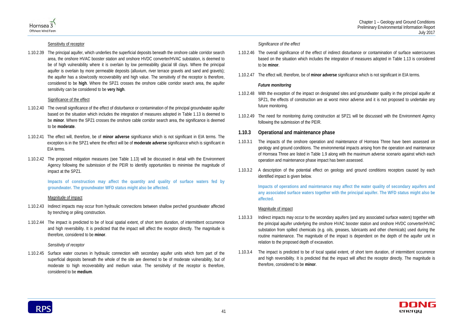



### Sensitivity of receptor

1.10.2.39 The principal aquifer, which underlies the superficial deposits beneath the onshore cable corridor search area, the onshore HVAC booster station and onshore HVDC converter/HVAC substation, is deemed to be of high vulnerability where it is overlain by low permeability glacial till clays. Where the principal aquifer is overlain by more permeable deposits (alluvium, river terrace gravels and sand and gravels); the aquifer has a slow/costly recoverability and high value. The sensitivity of the receptor is therefore, considered to be **high**. Where the SPZ1 crosses the onshore cable corridor search area, the aquifer sensitivity can be considered to be **very high**.

### Significance of the effect

- 1.10.2.40 The overall significance of the effect of disturbance or contamination of the principal groundwater aquifer based on the situation which includes the integration of measures adopted in [Table 1.13](#page-3-0) is deemed to be **minor**. Where the SPZ1 crosses the onshore cable corridor search area, the significance is deemed to be **moderate**.
- 1.10.2.41 The effect will, therefore, be of **minor adverse** significance which is not significant in EIA terms. The exception is in the SPZ1 where the effect will be of **moderate adverse** significance which is significant in EIA terms.
- 1.10.2.42 The proposed mitigation measures (see [Table 1.13\)](#page-3-0) will be discussed in detail with the Environment Agency following the submission of the PEIR to identify opportunities to minimise the magnitude of impact at the SPZ1.

**Impacts of construction may affect the quantity and quality of surface waters fed by groundwater. The groundwater WFD status might also be affected.** 

### Magnitude of impact

- 1.10.2.43 Indirect impacts may occur from hydraulic connections between shallow perched groundwater affected by trenching or piling construction.
- 1.10.2.44 The impact is predicted to be of local spatial extent, of short term duration, of intermittent occurrence and high reversibility. It is predicted that the impact will affect the receptor directly. The magnitude is therefore, considered to be **minor**.

### *Sensitivity of receptor*

1.10.2.45 Surface water courses in hydraulic connection with secondary aquifer units which form part of the superficial deposits beneath the whole of the site are deemed to be of moderate vulnerability, but of moderate to high recoverability and medium value. The sensitivity of the receptor is therefore, considered to be **medium**.

### *Significance of the effect*

- 1.10.2.46 The overall significance of the effect of indirect disturbance or contamination of surface watercourses based on the situation which includes the integration of measures adopted in [Table 1.13](#page-3-0) is considered to be **minor**.
- 1.10.2.47 The effect will, therefore, be of **minor adverse** significance which is not significant in EIA terms.

### *Future monitoring*

- 1.10.2.48 With the exception of the impact on designated sites and groundwater quality in the principal aquifer at SPZ1, the effects of construction are at worst minor adverse and it is not proposed to undertake any future monitoring.
- 1.10.2.49 The need for monitoring during construction at SPZ1 will be discussed with the Environment Agency following the submission of the PEIR.

### **1.10.3 Operational and maintenance phase**

- 1.10.3.1 The impacts of the onshore operation and maintenance of Hornsea Three have been assessed on geology and ground conditions. The environmental impacts arising from the operation and maintenance of Hornsea Three are listed in Table 1.9 along with the maximum adverse scenario against which each operation and maintenance phase impact has been assessed.
- 1.10.3.2 A description of the potential effect on geology and ground conditions receptors caused by each identified impact is given below.

**Impacts of operations and maintenance may affect the water quality of secondary aquifers and any associated surface waters together with the principal aquifer. The WFD status might also be affected.**

### Magnitude of impact

- 1.10.3.3 Indirect impacts may occur to the secondary aquifers (and any associated surface waters) together with the principal aquifer underlying the onshore HVAC booster station and onshore HVDC converter/HVAC substation from spilled chemicals (e.g. oils, greases, lubricants and other chemicals) used during the routine maintenance. The magnitude of the impact is dependent on the depth of the aquifer unit in relation to the proposed depth of excavation.
- 1.10.3.4 The impact is predicted to be of local spatial extent, of short term duration, of intermittent occurrence and high reversibility. It is predicted that the impact will affect the receptor directly. The magnitude is therefore, considered to be **minor**.

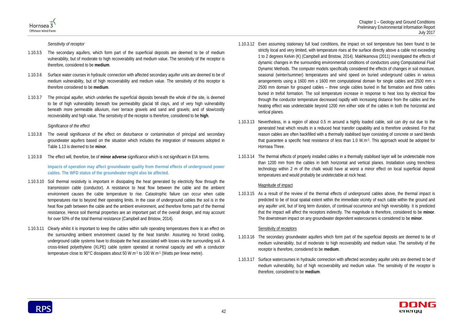



*Sensitivity of receptor*

- 1.10.3.5 The secondary aquifers, which form part of the superficial deposits are deemed to be of medium vulnerability, but of moderate to high recoverability and medium value. The sensitivity of the receptor is therefore, considered to be **medium**.
- 1.10.3.6 Surface water courses in hydraulic connection with affected secondary aquifer units are deemed to be of medium vulnerability, but of high recoverability and medium value. The sensitivity of this receptor is therefore considered to be **medium**.
- 1.10.3.7 The principal aquifer, which underlies the superficial deposits beneath the whole of the site, is deemed to be of high vulnerability beneath low permeability glacial till clays, and of very high vulnerability beneath more permeable alluvium, river terrace gravels and sand and gravels; and of slow/costly recoverability and high value. The sensitivity of the receptor is therefore, considered to be **high**.

### *Significance of the effect*

- 1.10.3.8 The overall significance of the effect on disturbance or contamination of principal and secondary groundwater aquifers based on the situation which includes the integration of measures adopted in [Table 1.13](#page-3-0) is deemed to be **minor**.
- 1.10.3.9 The effect will, therefore, be of **minor adverse** significance which is not significant in EIA terms.

**Impacts of operation may affect groundwater quality from thermal effects of underground power cables. The WFD status of the groundwater might also be affected.**

- 1.10.3.10 Soil thermal resistivity is important in dissipating the heat generated by electricity flow through the transmission cable (conductor). A resistance to heat flow between the cable and the ambient environment causes the cable temperature to rise. Catastrophic failure can occur when cable temperatures rise to beyond their operating limits. In the case of underground cables the soil is in the heat flow path between the cable and the ambient environment, and therefore forms part of the thermal resistance. Hence soil thermal properties are an important part of the overall design, and may account for over 50% of the total thermal resistance (Campbell and Bristow, 2014).
- 1.10.3.11 Clearly whilst it is important to keep the cables within safe operating temperatures there is an effect on the surrounding ambient environment caused by the heat transfer. Assuming no forced cooling, underground cable systems have to dissipate the heat associated with losses via the surrounding soil. A cross-linked polyethylene (XLPE) cable system operated at nominal capacity and with a conductor temperature close to 90°C dissipates about 50 W.m-1 to 100 W.m-1 (Watts per linear metre).
- 1.10.3.12 Even assuming stationary full load conditions, the impact on soil temperature has been found to be strictly local and very limited, with temperature rises at the surface directly above a cable not exceeding 1 to 2 degrees Kelvin (K) (Campbell and Bristow, 2014). Makhkamova (2011) investigated the effects of dynamic changes in the surrounding environmental conditions of conductors using Computational Fluid Dynamic Methods. The computer models specifically considered the effects of changes in soil moisture, seasonal (winter/summer) temperatures and wind speed on buried underground cables in various arrangements using a 1600 mm x 1600 mm computational domain for single cables and 2500 mm x 2500 mm domain for grouped cables – three single cables buried in flat formation and three cables buried in trefoil formation. The soil temperature increase in response to heat loss by electrical flow through the conductor temperature decreased rapidly with increasing distance from the cables and the heating effect was undetectable beyond 1200 mm either side of the cables in both the horizontal and vertical planes.
- 1.10.3.13 Nevertheless, in a region of about 0.5 m around a highly loaded cable, soil can dry out due to the generated heat which results in a reduced heat transfer capability and is therefore undesired. For that reason cables are often backfilled with a thermally stabilised layer consisting of concrete or sand blends that guarantee a specific heat resistance of less than 1.0 W.m-1. This approach would be adopted for Hornsea Three.
- 1.10.3.14 The thermal effects of properly installed cables in a thermally stabilised layer will be undetectable more than 1200 mm from the cables in both horizontal and vertical planes. Installation using trenchless technology within 2 m of the chalk would have at worst a minor effect on local superficial deposit temperatures and would probably be undetectable at rock head.

### Magnitude of impact

1.10.3.15 As a result of the review of the thermal effects of underground cables above, the thermal impact is predicted to be of local spatial extent within the immediate vicinity of each cable within the ground and any aquifer unit, but of long term duration, of continual occurrence and high reversibility. It is predicted that the impact will affect the receptors indirectly. The magnitude is therefore, considered to be **minor**. The downstream impact on any groundwater dependent watercourses is considered to be **minor**.

### Sensitivity of receptors

- 1.10.3.16 The secondary groundwater aquifers which form part of the superficial deposits are deemed to be of medium vulnerability, but of moderate to high recoverability and medium value. The sensitivity of the receptor is therefore, considered to be **medium**.
- 1.10.3.17 Surface watercourses in hydraulic connection with affected secondary aquifer units are deemed to be of medium vulnerability, but of high recoverability and medium value. The sensitivity of the receptor is therefore, considered to be **medium**.

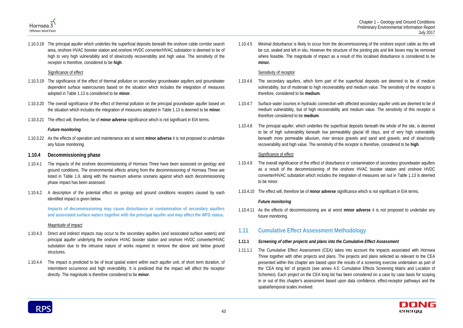



1.10.3.18 The principal aquifer which underlies the superficial deposits beneath the onshore cable corridor search area, onshore HVAC booster station and onshore HVDC converter/HVAC substation is deemed to be of high to very high vulnerability and of slow/costly recoverability and high value. The sensitivity of the receptor is therefore, considered to be **high**.

### Significance of effect

- 1.10.3.19 The significance of the effect of thermal pollution on secondary groundwater aquifers and groundwater dependent surface watercourses based on the situation which includes the integration of measures adopted in [Table 1.13](#page-3-0) is considered to be **minor**.
- 1.10.3.20 The overall significance of the effect of thermal pollution on the principal groundwater aquifer based on the situation which includes the integration of measures adopted in [Table 1.13](#page-3-0) is deemed to be **minor**.
- 1.10.3.21 The effect will, therefore, be of **minor adverse** significance which is not significant in EIA terms.

### *Future monitoring*

1.10.3.22 As the effects of operation and maintenance are at worst **minor adverse** it is not proposed to undertake any future monitoring*.* 

### **1.10.4 Decommissioning phase**

- 1.10.4.1 The impacts of the onshore decommissioning of Hornsea Three have been assessed on geology and ground conditions. The environmental effects arising from the decommissioning of Hornsea Three are listed in Table 1.9, along with the maximum adverse scenario against which each decommissioning phase impact has been assessed.
- 1.10.4.2 A description of the potential effect on geology and ground conditions receptors caused by each identified impact is given below.

**Impacts of decommissioning may cause disturbance or contamination of secondary aquifers and associated surface waters together with the principal aquifer and may affect the WFD status.**

### Magnitude of impact

- 1.10.4.3 Direct and indirect impacts may occur to the secondary aquifers (and associated surface waters) and principal aquifer underlying the onshore HVAC booster station and onshore HVDC converter/HVAC substation due to the intrusive nature of works required to remove the above and below ground structures.
- 1.10.4.4 The impact is predicted to be of local spatial extent within each aquifer unit, of short term duration, of intermittent occurrence and high reversibility. It is predicted that the impact will affect the receptor directly. The magnitude is therefore considered to be **minor**.

1.10.4.5 Minimal disturbance is likely to occur from the decommissioning of the onshore export cable as this will be cut, sealed and left in situ. However the structure of the jointing pits and link boxes may be removed where feasible. The magnitude of impact as a result of this localised disturbance is considered to be **minor.**

### Sensitivity of receptor

- 1.10.4.6 The secondary aquifers, which form part of the superficial deposits are deemed to be of medium vulnerability, but of moderate to high recoverability and medium value. The sensitivity of the receptor is therefore, considered to be **medium**.
- 1.10.4.7 Surface water courses in hydraulic connection with affected secondary aquifer units are deemed to be of medium vulnerability, but of high recoverability and medium value. The sensitivity of this receptor is therefore considered to be **medium**.
- 1.10.4.8 The principal aquifer, which underlies the superficial deposits beneath the whole of the site, is deemed to be of high vulnerability beneath low permeability glacial till clays, and of very high vulnerability beneath more permeable alluvium, river terrace gravels and sand and gravels; and of slow/costly recoverability and high value. The sensitivity of the receptor is therefore, considered to be **high**.

### Significance of effect

- 1.10.4.9 The overall significance of the effect of disturbance or contamination of secondary groundwater aquifers as a result of the decommissioning of the onshore HVAC booster station and onshore HVDC converter/HVAC substation which includes the integration of measures set out in [Table 1.13](#page-3-0) is deemed to be minor.
- 1.10.4.10 The effect will, therefore be of **minor adverse** significance which is not significant in EIA terms.

### *Future monitoring*

1.10.4.11 As the effects of decommissioning are at worst **minor adverse** it is not proposed to undertake any future monitoring*.* 

# **1.11 Cumulative Effect Assessment Methodology**

- **1.11.1** *Screening of other projects and plans into the Cumulative Effect Assessment*
- 1.11.1.1 The Cumulative Effect Assessment (CEA) takes into account the impacts associated with Hornsea Three together with other projects and plans. The projects and plans selected as relevant to the CEA presented within this chapter are based upon the results of a screening exercise undertaken as part of the 'CEA long list' of projects (see annex 4.5: Cumulative Effects Screening Matrix and Location of Schemes). Each project on the CEA long list has been considered on a case by case basis for scoping in or out of this chapter's assessment based upon data confidence, effect-receptor pathways and the spatial/temporal scales involved.

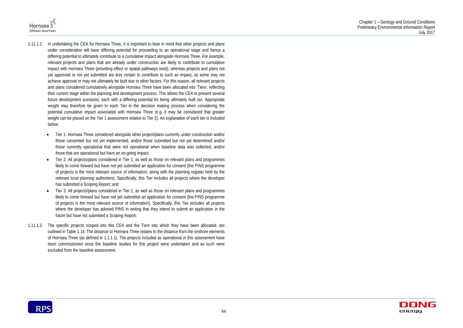



- 1.11.1.2 In undertaking the CEA for Hornsea Three, it is important to bear in mind that other projects and plans under consideration will have differing potential for proceeding to an operational stage and hence a differing potential to ultimately contribute to a cumulative impact alongside Hornsea Three. For example, relevant projects and plans that are already under construction are likely to contribute to cumulative impact with Hornsea Three (providing effect or spatial pathways exist), whereas projects and plans not yet approved or not yet submitted are less certain to contribute to such an impact, as some may not achieve approval or may not ultimately be built due to other factors. For this reason, all relevant projects and plans considered cumulatively alongside Hornsea Three have been allocated into 'Tiers', reflecting their current stage within the planning and development process. This allows the CEA to present several future development scenarios, each with a differing potential for being ultimately built out. Appropriate weight may therefore be given to each Tier in the decision making process when considering the potential cumulative impact associated with Hornsea Three (e.g. it may be considered that greater weight can be placed on the Tier 1 assessment relative to Tier 2). An explanation of each tier is included below:
	- Tier 1: Hornsea Three considered alongside other project/plans currently under construction and/or those consented but not yet implemented, and/or those submitted but not yet determined and/or those currently operational that were not operational when baseline data was collected, and/or those that are operational but have an on-going impact;
	- Tier 2: All projects/plans considered in Tier 1, as well as those on relevant plans and programmes likely to come forward but have not yet submitted an application for consent (the PINS programme of projects is the most relevant source of information, along with the planning register held by the relevant local planning authorities). Specifically, this Tier includes all projects where the developer has submitted a Scoping Report; and
	- Tier 3: All projects/plans considered in Tier 2, as well as those on relevant plans and programmes likely to come forward but have not yet submitted an application for consent (the PINS programme of projects is the most relevant source of information). Specifically, this Tier includes all projects where the developer has advised PINS in writing that they intend to submit an application in the future but have not submitted a Scoping Report.
- 1.11.1.3 The specific projects scoped into this CEA and the Tiers into which they have been allocated, are outlined in [Table 1.14.](#page-11-0) The distance to Hornsea Three relates to the distance from the onshore elements of Hornsea Three (as defined in 1.1.1.1). The projects included as operational in this assessment have been commissioned since the baseline studies for this project were undertaken and as such were excluded from the baseline assessment.

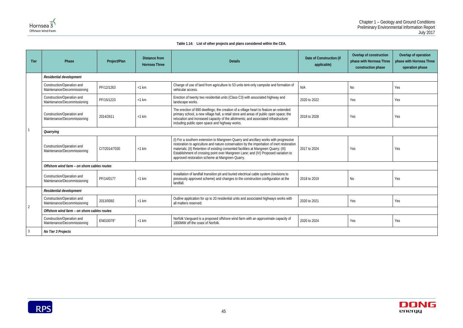

### **Table 1.14: List of other projects and plans considered within the CEA.**

| Date of Construction (if<br>applicable) | Overlap of construction<br>phase with Hornsea Three<br>construction phase | Overlap of operation<br>phase with Hornsea Three<br>operation phase |
|-----------------------------------------|---------------------------------------------------------------------------|---------------------------------------------------------------------|
|                                         |                                                                           |                                                                     |
| N/A                                     | N <sub>o</sub>                                                            | Yes                                                                 |
| 2020 to 2022                            | Yes                                                                       | Yes                                                                 |
| 2018 to 2028                            | Yes                                                                       | Yes                                                                 |
|                                         |                                                                           |                                                                     |
| 2017 to 2024                            | Yes                                                                       | Yes                                                                 |
|                                         |                                                                           |                                                                     |
| 2018 to 2019                            | N <sub>0</sub>                                                            | Yes                                                                 |
|                                         |                                                                           |                                                                     |
| 2020 to 2021                            | Yes                                                                       | Yes                                                                 |
|                                         |                                                                           |                                                                     |
| 2020 to 2024                            | Yes                                                                       | Yes                                                                 |
|                                         |                                                                           |                                                                     |



<span id="page-11-1"></span><span id="page-11-0"></span>

| <b>Tier</b>    | Phase                                                     | Project/Plan  | <b>Distance from</b><br><b>Hornsea Three</b> | <b>Details</b>                                                                                                                                                                                                                                                                                                                                                                                                      | Date of Construction (if<br>applicable) | Overlap of construction<br>phase with Hornsea Three<br>construction phase | pha |  |
|----------------|-----------------------------------------------------------|---------------|----------------------------------------------|---------------------------------------------------------------------------------------------------------------------------------------------------------------------------------------------------------------------------------------------------------------------------------------------------------------------------------------------------------------------------------------------------------------------|-----------------------------------------|---------------------------------------------------------------------------|-----|--|
|                | Residential development                                   |               |                                              |                                                                                                                                                                                                                                                                                                                                                                                                                     |                                         |                                                                           |     |  |
|                | Construction/Operation and<br>Maintenance/Decommissioning | PF/12/1263    | $<$ 1 km                                     | Change of use of land from agriculture to 53 units tent-only campsite and formation of<br>vehicular access.                                                                                                                                                                                                                                                                                                         | N/A                                     | No                                                                        | Yes |  |
|                | Construction/Operation and<br>Maintenance/Decommissioning | PF/15/1223    | $<$ 1 km                                     | Erection of twenty two residential units (Class C3) with associated highway and<br>landscape works.                                                                                                                                                                                                                                                                                                                 | 2020 to 2022                            | Yes                                                                       | Yes |  |
|                | Construction/Operation and<br>Maintenance/Decommissioning | 2014/2611     | $<$ 1 km                                     | The erection of 890 dwellings; the creation of a village heart to feature an extended<br>primary school, a new village hall, a retail store and areas of public open space; the<br>relocation and increased capacity of the allotments; and associated infrastructure<br>including public open space and highway works.                                                                                             | 2018 to 2028                            | Yes                                                                       | Yes |  |
|                | Quarrying                                                 |               |                                              |                                                                                                                                                                                                                                                                                                                                                                                                                     |                                         |                                                                           |     |  |
|                | Construction/Operation and<br>Maintenance/Decommissioning | C/7/2014/7030 | $<$ 1 km                                     | (I) For a southern extension to Mangreen Quarry and ancillary works with progressive<br>restoration to agriculture and nature conservation by the importation of inert restoration<br>materials; (II) Retention of existing consented facilities at Mangreen Quarry; (III)<br>Establishment of crossing point over Mangreen Lane; and (IV) Proposed variation to<br>approved restoration scheme at Mangreen Quarry. | 2017 to 2024                            | Yes                                                                       | Yes |  |
|                | Offshore wind farm - on shore cables routes               |               |                                              |                                                                                                                                                                                                                                                                                                                                                                                                                     |                                         |                                                                           |     |  |
|                | Construction/Operation and<br>Maintenance/Decommissioning | PF/14/0177    | $<$ 1 km                                     | Installation of landfall transition pit and buried electrical cable system (revisions to<br>previously approved scheme) and changes to the construction configuration at the<br>landfall.                                                                                                                                                                                                                           | 2018 to 2019                            | No                                                                        | Yes |  |
|                | Residential development                                   |               |                                              |                                                                                                                                                                                                                                                                                                                                                                                                                     |                                         |                                                                           |     |  |
|                | Construction/Operation and<br>Maintenance/Decommissioning | 2013/0092     | $<$ 1 km                                     | Outline application for up to 20 residential units and associated highways works with<br>all matters reserved.                                                                                                                                                                                                                                                                                                      | 2020 to 2021                            | Yes                                                                       | Yes |  |
| $\overline{2}$ | Offshore wind farm - on shore cables routes               |               |                                              |                                                                                                                                                                                                                                                                                                                                                                                                                     |                                         |                                                                           |     |  |
|                | Construction/Operation and<br>Maintenance/Decommissioning | EN010079"     | $<$ 1 km                                     | Norfolk Vanguard is a proposed offshore wind farm with an approximate capacity of<br>1800MW off the coast of Norfolk.                                                                                                                                                                                                                                                                                               | 2020 to 2024                            | Yes                                                                       | Yes |  |
| 3              | No Tier 3 Projects                                        |               |                                              |                                                                                                                                                                                                                                                                                                                                                                                                                     |                                         |                                                                           |     |  |

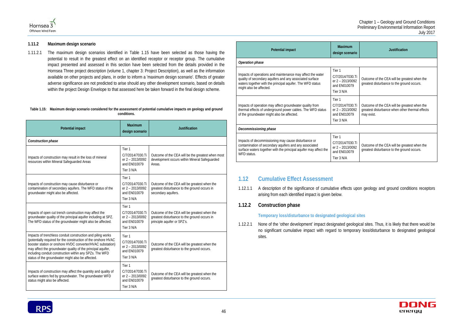

1.11.2.1 The maximum design scenarios identified in [Table 1.15](#page-12-0) have been selected as those having the potential to result in the greatest effect on an identified receptor or receptor group. The cumulative impact presented and assessed in this section have been selected from the details provided in the Hornsea Three project description (volume 1, chapter 3: Project Description), as well as the information available on other projects and plans, in order to inform a 'maximum design scenario'. Effects of greater adverse significance are not predicted to arise should any other development scenario, based on details within the project Design Envelope to that assessed here be taken forward in the final design scheme.

### **1.11.2 Maximum design scenario**

### <span id="page-12-0"></span>**Table 1.15: Maximum design scenario considered for the assessment of potential cumulative impacts on geology and ground conditions.**

| <b>Potential impact</b>                                                                                                                                                                                                                                                                                                                                                     | <b>Maximum</b><br>design scenario                                            | <b>Justification</b>                                                                                                        |
|-----------------------------------------------------------------------------------------------------------------------------------------------------------------------------------------------------------------------------------------------------------------------------------------------------------------------------------------------------------------------------|------------------------------------------------------------------------------|-----------------------------------------------------------------------------------------------------------------------------|
| Construction phase                                                                                                                                                                                                                                                                                                                                                          |                                                                              |                                                                                                                             |
| Impacts of construction may result in the loss of mineral<br>resources within Mineral Safeguarded Areas                                                                                                                                                                                                                                                                     | Tier 1<br>C/7/2014/7030.Ti<br>er 2 - 2013/0092<br>and EN010079<br>Tier 3 N/A | Outcome of the CEA will be the greatest when most<br>development occurs within Mineral Safeguarded<br>Areas.                |
| Impacts of construction may cause disturbance or<br>contamination of secondary aquifers. The WFD status of the<br>groundwater might also be affected.                                                                                                                                                                                                                       | Tier 1<br>C/7/2014/7030.Ti<br>er 2 - 2013/0092<br>and EN010079<br>Tier 3 N/A | Outcome of the CEA will be greatest when the<br>greatest disturbance to the ground occurs in<br>secondary aquifers.         |
| Impacts of open cut trench construction may affect the<br>groundwater quality of the principal aquifer including at SPZ.<br>The WFD status of the groundwater might also be affected.                                                                                                                                                                                       | Tier 1<br>C/7/2014/7030.Ti<br>er 2 - 2013/0092<br>and EN010079<br>Tier 3 N/A | Outcome of the CEA will be greatest when the<br>greatest disturbance to the ground occurs in<br>principle aquifer or SPZ's. |
| Impacts of trenchless conduit construction and piling works<br>(potentially required for the construction of the onshore HVAC<br>booster station or onshore HVDC converter/HVAC substation)<br>may affect the groundwater quality of the principal aquifer,<br>including conduit construction within any SPZs. The WFD<br>status of the groundwater might also be affected. | Tier 1<br>C/7/2014/7030.Ti<br>er 2 - 2013/0092<br>and EN010079<br>Tier 3 N/A | Outcome of the CEA will be greatest when the<br>greatest disturbance to the ground occurs.                                  |
| Impacts of construction may affect the quantity and quality of<br>surface waters fed by groundwater. The groundwater WFD<br>status might also be affected.                                                                                                                                                                                                                  | Tier 1<br>C/7/2014/7030.Ti<br>er 2 - 2013/0092<br>and EN010079<br>Tier 3 N/A | Outcome of the CEA will be greatest when the<br>greatest disturbance to the ground occurs.                                  |

| <b>Potential impact</b>                                                                                                                                                                                         | <b>Maximum</b><br>design scenario                                            | <b>Justification</b>                                                                                          |
|-----------------------------------------------------------------------------------------------------------------------------------------------------------------------------------------------------------------|------------------------------------------------------------------------------|---------------------------------------------------------------------------------------------------------------|
| Operation phase                                                                                                                                                                                                 |                                                                              |                                                                                                               |
| Impacts of operations and maintenance may affect the water<br>quality of secondary aquifers and any associated surface<br>waters together with the principal aquifer. The WFD status<br>might also be affected. | Tier 1<br>C/7/2014/7030.Ti<br>er 2 - 2013/0092<br>and FN010079<br>Tier 3 N/A | Outcome of the CEA will be greatest when the<br>greatest disturbance to the ground occurs.                    |
| Impacts of operation may affect groundwater quality from<br>thermal effects of underground power cables. The WFD status<br>of the groundwater might also be affected.                                           | Tier 1<br>C/7/2014/7030.Ti<br>er 2 - 2013/0092<br>and FN010079<br>Tier 3 N/A | Outcome of the CEA will be greatest when the<br>greatest disturbance when other thermal effects<br>may exist. |
| Decommissioning phase                                                                                                                                                                                           |                                                                              |                                                                                                               |
| Impacts of decommissioning may cause disturbance or<br>contamination of secondary aquifers and any associated<br>surface waters together with the principal aquifer may affect the<br>WFD status.               | Tier 1<br>C/7/2014/7030.Ti<br>er 2 - 2013/0092<br>and FN010079<br>Tier 3 N/A | Outcome of the CEA will be greatest when the<br>greatest disturbance to the ground occurs.                    |

# **1.12 Cumulative Effect Assessment**

- 1.12.1.1 A description of the significance of cumulative effects upon geology and ground conditions receptors arising from each identified impact is given below.
- **1.12.2 Construction phase**

### **Temporary loss/disturbance to designated geological sites**

1.12.2.1 None of the 'other development' impact designated geological sites. Thus, it is likely that there would be no significant cumulative impact with regard to temporary loss/disturbance to designated geological sites.

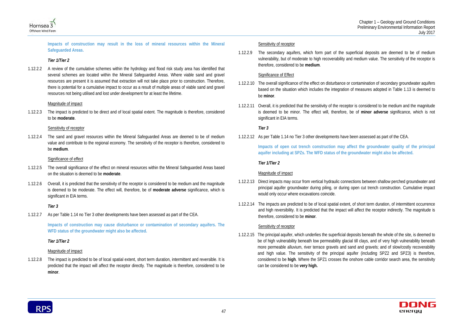



**Impacts of construction may result in the loss of mineral resources within the Mineral Safeguarded Areas.** 

### *Tier 1/Tier 2*

1.12.2.2 A review of the cumulative schemes within the hydrology and flood risk study area has identified that several schemes are located within the Mineral Safeguarded Areas. Where viable sand and gravel resources are present it is assumed that extraction will not take place prior to construction. Therefore, there is potential for a cumulative impact to occur as a result of multiple areas of viable sand and gravel resources not being utilised and lost under development for at least the lifetime.

### Magnitude of impact

1.12.2.3 The impact is predicted to be direct and of local spatial extent. The magnitude is therefore, considered to be **moderate**.

### Sensitivity of receptor

1.12.2.4 The sand and gravel resources within the Mineral Safeguarded Areas are deemed to be of medium value and contribute to the regional economy. The sensitivity of the receptor is therefore, considered to be **medium**.

### Significance of effect

- 1.12.2.5 The overall significance of the effect on mineral resources within the Mineral Safeguarded Areas based on the situation is deemed to be **moderate**.
- 1.12.2.6 Overall, it is predicted that the sensitivity of the receptor is considered to be medium and the magnitude is deemed to be moderate. The effect will, therefore, be of **moderate adverse** significance, which is significant in EIA terms.

### *Tier 3*

1.12.2.7 As per [Table 1.14](#page-11-1) no Tier 3 other developments have been assessed as part of the CEA.

**Impacts of construction may cause disturbance or contamination of secondary aquifers. The WFD status of the groundwater might also be affected.**

# *Tier 1/Tier 2*

# Magnitude of impact

1.12.2.8 The impact is predicted to be of local spatial extent, short term duration, intermittent and reversible. It is predicted that the impact will affect the receptor directly. The magnitude is therefore, considered to be **minor**.

# Sensitivity of receptor

1.12.2.9 The secondary aquifers, which form part of the superficial deposits are deemed to be of medium vulnerability, but of moderate to high recoverability and medium value. The sensitivity of the receptor is therefore, considered to be **medium**.

# Significance of Effect

- 1.12.2.10 The overall significance of the effect on disturbance or contamination of secondary groundwater aquifers based on the situation which includes the integration of measures adopted in [Table 1.13](#page-3-2) is deemed to be **minor**.
- 1.12.2.11 Overall, it is predicted that the sensitivity of the receptor is considered to be medium and the magnitude is deemed to be minor. The effect will, therefore, be of **minor adverse** significance, which is not significant in EIA terms.

# *Tier 3*

1.12.2.12 As per [Table 1.14](#page-11-1) no Tier 3 other developments have been assessed as part of the CEA.

**Impacts of open cut trench construction may affect the groundwater quality of the principal aquifer including at SPZs. The WFD status of the groundwater might also be affected.**

### *Tier 1/Tier 2*

# Magnitude of impact

- 1.12.2.13 Direct impacts may occur from vertical hydraulic connections between shallow perched groundwater and principal aquifer groundwater during piling, or during open cut trench construction. Cumulative impact would only occur where excavations coincide.
- 1.12.2.14 The impacts are predicted to be of local spatial extent, of short term duration, of intermittent occurrence and high reversibility. It is predicted that the impact will affect the receptor indirectly. The magnitude is therefore, considered to be **minor**.

### Sensitivity of receptor

1.12.2.15 The principal aquifer, which underlies the superficial deposits beneath the whole of the site, is deemed to be of high vulnerability beneath low permeability glacial till clays, and of very high vulnerability beneath more permeable alluvium, river terrace gravels and sand and gravels; and of slow/costly recoverability and high value. The sensitivity of the principal aquifer (including SPZ2 and SPZ3) is therefore, considered to be **high**. Where the SPZ1 crosses the onshore cable corridor search area, the sensitivity can be considered to be **very high.**

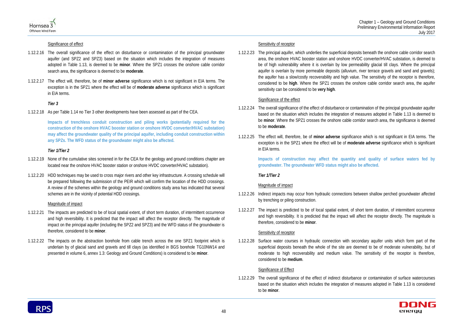



### Significance of effect

- 1.12.2.16 The overall significance of the effect on disturbance or contamination of the principal groundwater aquifer (and SPZ2 and SPZ3) based on the situation which includes the integration of measures adopted in [Table 1.13,](#page-3-2) is deemed to be **minor**. Where the SPZ1 crosses the onshore cable corridor search area, the significance is deemed to be **moderate**.
- 1.12.2.17 The effect will, therefore, be of **minor adverse** significance which is not significant in EIA terms. The exception is in the SPZ1 where the effect will be of **moderate adverse** significance which is significant in EIA terms.

### *Tier 3*

1.12.2.18 As per [Table 1.14](#page-11-1) no Tier 3 other developments have been assessed as part of the CEA.

**Impacts of trenchless conduit construction and piling works (potentially required for the construction of the onshore HVAC booster station or onshore HVDC converter/HVAC substation) may affect the groundwater quality of the principal aquifer, including conduit construction within any SPZs. The WFD status of the groundwater might also be affected.**

### *Tier 1/Tier 2*

- 1.12.2.19 None of the cumulative sites screened in for the CEA for the geology and ground conditions chapter are located near the onshore HVAC booster station or onshore HVDC converter/HVAC substation).
- 1.12.2.20 HDD techniques may be used to cross major rivers and other key infrastructure. A crossing schedule will be prepared following the submission of the PEIR which will confirm the location of the HDD crossings. A review of the schemes within the geology and ground conditions study area has indicated that several schemes are in the vicinity of potential HDD crossings.

### Magnitude of impact

- 1.12.2.21 The impacts are predicted to be of local spatial extent, of short term duration, of intermittent occurrence and high reversibility. It is predicted that the impact will affect the receptor directly. The magnitude of impact on the principal aquifer (including the SPZ2 and SPZ3) and the WFD status of the groundwater is therefore, considered to be **minor**.
- 1.12.2.22 The impacts on the abstraction borehole from cable trench across the one SPZ1 footprint which is underlain by of glacial sand and gravels and till clays (as identified in BGS borehole TG10NW14 and presented in volume 6, annex 1.3: Geology and Ground Conditions) is considered to be **minor**.

### Sensitivity of receptor

1.12.2.23 The principal aquifer, which underlies the superficial deposits beneath the onshore cable corridor search area, the onshore HVAC booster station and onshore HVDC converter/HVAC substation, is deemed to be of high vulnerability where it is overlain by low permeability glacial till clays. Where the principal aquifer is overlain by more permeable deposits (alluvium, river terrace gravels and sand and gravels); the aquifer has a slow/costly recoverability and high value. The sensitivity of the receptor is therefore, considered to be **high**. Where the SPZ1 crosses the onshore cable corridor search area, the aquifer sensitivity can be considered to be **very high**.

### Significance of the effect

- 1.12.2.24 The overall significance of the effect of disturbance or contamination of the principal groundwater aquifer based on the situation which includes the integration of measures adopted in [Table 1.13](#page-3-2) is deemed to be **minor**. Where the SPZ1 crosses the onshore cable corridor search area, the significance is deemed to be **moderate**.
- 1.12.2.25 The effect will, therefore, be of **minor adverse** significance which is not significant in EIA terms. The exception is in the SPZ1 where the effect will be of **moderate adverse** significance which is significant in EIA terms.

**Impacts of construction may affect the quantity and quality of surface waters fed by groundwater. The groundwater WFD status might also be affected.**

### *Tier 1/Tier 2*

### Magnitude of impact

- 1.12.2.26 Indirect impacts may occur from hydraulic connections between shallow perched groundwater affected by trenching or piling construction.
- 1.12.2.27 The impact is predicted to be of local spatial extent, of short term duration, of intermittent occurrence and high reversibility. It is predicted that the impact will affect the receptor directly. The magnitude is therefore, considered to be **minor**.

### Sensitivity of receptor

1.12.2.28 Surface water courses in hydraulic connection with secondary aquifer units which form part of the superficial deposits beneath the whole of the site are deemed to be of moderate vulnerability, but of moderate to high recoverability and medium value. The sensitivity of the receptor is therefore, considered to be **medium**.

### Significance of Effect

1.12.2.29 The overall significance of the effect of indirect disturbance or contamination of surface watercourses based on the situation which includes the integration of measures adopted in [Table 1.13](#page-3-2) is considered to be **minor**.

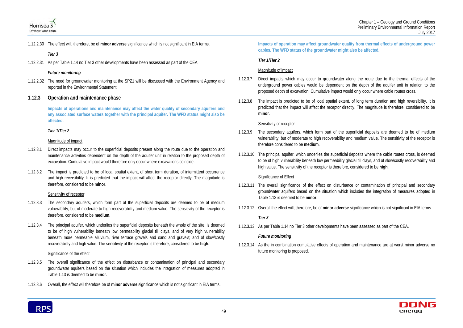



1.12.2.30 The effect will, therefore, be of **minor adverse** significance which is not significant in EIA terms.

### *Tier 3*

1.12.2.31 As per [Table 1.14](#page-11-1) no Tier 3 other developments have been assessed as part of the CEA.

### *Future monitoring*

1.12.2.32 The need for groundwater monitoring at the SPZ1 will be discussed with the Environment Agency and reported in the Environmental Statement.

### **1.12.3 Operation and maintenance phase**

**Impacts of operations and maintenance may affect the water quality of secondary aquifers and any associated surface waters together with the principal aquifer. The WFD status might also be affected.** 

### *Tier 1/Tier 2*

### Magnitude of impact

- 1.12.3.1 Direct impacts may occur to the superficial deposits present along the route due to the operation and maintenance activities dependent on the depth of the aquifer unit in relation to the proposed depth of excavation. Cumulative impact would therefore only occur where excavations coincide.
- 1.12.3.2 The impact is predicted to be of local spatial extent, of short term duration, of intermittent occurrence and high reversibility. It is predicted that the impact will affect the receptor directly. The magnitude is therefore, considered to be **minor**.

### Sensitivity of receptor

- 1.12.3.3 The secondary aquifers, which form part of the superficial deposits are deemed to be of medium vulnerability, but of moderate to high recoverability and medium value. The sensitivity of the receptor is therefore, considered to be **medium**.
- 1.12.3.4 The principal aquifer, which underlies the superficial deposits beneath the whole of the site, is deemed to be of high vulnerability beneath low permeability glacial till clays, and of very high vulnerability beneath more permeable alluvium, river terrace gravels and sand and gravels; and of slow/costly recoverability and high value. The sensitivity of the receptor is therefore, considered to be **high**.

### Significance of the effect

- 1.12.3.5 The overall significance of the effect on disturbance or contamination of principal and secondary groundwater aquifers based on the situation which includes the integration of measures adopted in [Table 1.13](#page-3-2) is deemed to be **minor**.
- 1.12.3.6 Overall, the effect will therefore be of **minor adverse** significance which is not significant in EIA terms.

### **Impacts of operation may affect groundwater quality from thermal effects of underground power cables. The WFD status of the groundwater might also be affected.**

### *Tier 1/Tier 2*

### Magnitude of impact

- 1.12.3.7 Direct impacts which may occur to groundwater along the route due to the thermal effects of the underground power cables would be dependent on the depth of the aquifer unit in relation to the proposed depth of excavation. Cumulative impact would only occur where cable routes cross.
- 1.12.3.8 The impact is predicted to be of local spatial extent, of long term duration and high reversibility. It is predicted that the impact will affect the receptor directly. The magnitude is therefore, considered to be **minor**.

### Sensitivity of receptor

- 1.12.3.9 The secondary aquifers, which form part of the superficial deposits are deemed to be of medium vulnerability, but of moderate to high recoverability and medium value. The sensitivity of the receptor is therefore considered to be **medium**.
- 1.12.3.10 The principal aquifer, which underlies the superficial deposits where the cable routes cross, is deemed to be of high vulnerability beneath low permeability glacial till clays, and of slow/costly recoverability and high value. The sensitivity of the receptor is therefore, considered to be **high**.

### Significance of Effect

- 1.12.3.11 The overall significance of the effect on disturbance or contamination of principal and secondary groundwater aquifers based on the situation which includes the integration of measures adopted in [Table 1.13](#page-3-2) is deemed to be **minor**.
- 1.12.3.12 Overall the effect will, therefore, be of **minor adverse** significance which is not significant in EIA terms.

### *Tier 3*

1.12.3.13 As per [Table 1.14](#page-11-1) no Tier 3 other developments have been assessed as part of the CEA.

### *Future monitoring*

1.12.3.14 As the in combination cumulative effects of operation and maintenance are at worst minor adverse no future monitoring is proposed.

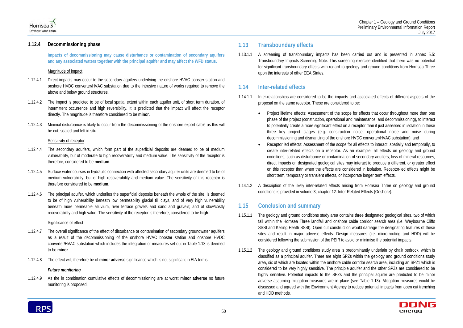

## **1.12.4 Decommissioning phase**

**Impacts of decommissioning may cause disturbance or contamination of secondary aquifers and any associated waters together with the principal aquifer and may affect the WFD status.** 

### Magnitude of impact

- 1.12.4.1 Direct impacts may occur to the secondary aquifers underlying the onshore HVAC booster station and onshore HVDC converter/HVAC substation due to the intrusive nature of works required to remove the above and below ground structures.
- 1.12.4.2 The impact is predicted to be of local spatial extent within each aquifer unit, of short term duration, of intermittent occurrence and high reversibility. It is predicted that the impact will affect the receptor directly. The magnitude is therefore considered to be **minor**.
- 1.12.4.3 Minimal disturbance is likely to occur from the decommissioning of the onshore export cable as this will be cut, sealed and left in situ.

### Sensitivity of receptor

- 1.12.4.4 The secondary aquifers, which form part of the superficial deposits are deemed to be of medium vulnerability, but of moderate to high recoverability and medium value. The sensitivity of the receptor is therefore, considered to be **medium**.
- 1.12.4.5 Surface water courses in hydraulic connection with affected secondary aquifer units are deemed to be of medium vulnerability, but of high recoverability and medium value. The sensitivity of this receptor is therefore considered to be **medium**.
- 1.12.4.6 The principal aquifer, which underlies the superficial deposits beneath the whole of the site, is deemed to be of high vulnerability beneath low permeability glacial till clays, and of very high vulnerability beneath more permeable alluvium, river terrace gravels and sand and gravels; and of slow/costly recoverability and high value. The sensitivity of the receptor is therefore, considered to be **high**.

### Significance of effect

- 1.12.4.7 The overall significance of the effect of disturbance or contamination of secondary groundwater aquifers as a result of the decommissioning of the onshore HVAC booster station and onshore HVDC converter/HVAC substation which includes the integration of measures set out in [Table 1.13](#page-3-2) is deemed to be **minor**.
- 1.12.4.8 The effect will, therefore be of **minor adverse** significance which is not significant in EIA terms.

### *Future monitoring*

1.12.4.9 As the in combination cumulative effects of decommissioning are at worst **minor adverse** no future monitoring is proposed.

# **1.13 Transboundary effects**

1.13.1.1 A screening of transboundary impacts has been carried out and is presented in annex 5.5: Transboundary Impacts Screening Note. This screening exercise identified that there was no potential for significant transboundary effects with regard to geology and ground conditions from Hornsea Three upon the interests of other EEA States.

# **1.14 Inter-related effects**

• Project lifetime effects: Assessment of the scope for effects that occur throughout more than one phase of the project (construction, operational and maintenance, and decommissioning), to interact to potentially create a more significant effect on a receptor than if just assessed in isolation in these three key project stages (e.g. construction noise, operational noise and noise during

- 1.14.1.1 Inter-relationships are considered to be the impacts and associated effects of different aspects of the proposal on the same receptor. These are considered to be:
	- decommissioning and dismantling of the onshore HVDC converter/HVAC substation); and
	- Receptor led effects: Assessment of the scope for all effects to interact, spatially and temporally, to short term, temporary or transient effects, or incorporate longer term effects.
- 1.14.1.2 A description of the likely inter-related effects arising from Hornsea Three on geology and ground conditions is provided in volume 3, chapter 12: Inter-Related Effects (Onshore).

create inter-related effects on a receptor. As an example, all effects on geology and ground conditions, such as disturbance or contamination of secondary aquifers, loss of mineral resources, direct impacts on designated geological sites may interact to produce a different, or greater effect on this receptor than when the effects are considered in isolation. Receptor-led effects might be



# **1.15 Conclusion and summary**

- 1.15.1.1 The geology and ground conditions study area contains three designated geological sites, two of which fall within the Hornsea Three landfall and onshore cable corridor search area (i.e. Weybourne Cliffs SSSI and Kelling Heath SSSI). Open cut construction would damage the designating features of these sites and result in major adverse effects. Design measures (i.e. micro-routing and HDD) will be considered following the submission of the PEIR to avoid or minimise the potential impacts.
- 1.15.1.2 The geology and ground conditions study area is predominantly underlain by chalk bedrock, which is classified as a principal aquifer. There are eight SPZs within the geology and ground conditions study area, six of which are located within the onshore cable corridor search area, including an SPZ1 which is considered to be very highly sensitive. The principle aquifer and the other SPZs are considered to be highly sensitive. Potential impacts to the SPZs and the principal aquifer are predicted to be minor adverse assuming mitigation measures are in place (see [Table 1.13\)](#page-3-2). Mitigation measures would be discussed and agreed with the Environment Agency to reduce potential impacts from open cut trenching and HDD methods.

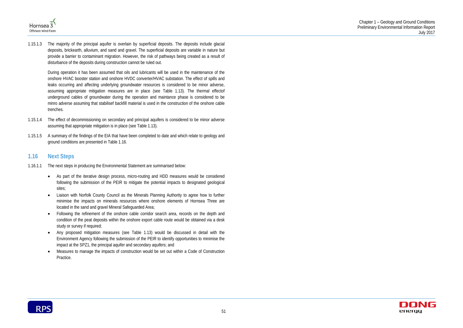



1.15.1.3 The majority of the principal aquifer is overlain by superficial deposits. The deposits include glacial deposits, brickearth, alluvium, and sand and gravel. The superficial deposits are variable in nature but provide a barrier to contaminant migration. However, the risk of pathways being created as a result of disturbance of the deposits during construction cannot be ruled out.

During operation it has been assumed that oils and lubricants will be used in the maintenance of the onshore HVAC booster station and onshore HVDC converter/HVAC substation. The effect of spills and leaks occurring and affecting underlying groundwater resources is considered to be minor adverse, assuming appropriate mitigation measures are in place (see [Table 1.13\)](#page-3-2). The thermal effectof underground cables of groundwater during the operation and maintance phase is considered to be minro adverse assuming that stabilisef backfill material is used in the construction of the onshore cable trenches.

- 1.15.1.4 The effect of decommissioning on secondary and principal aquifers is considered to be minor adverse assuming that appropriate mitigation is in place (see [Table 1.13\)](#page-3-2).
- 1.15.1.5 A summary of the findings of the EIA that have been completed to date and which relate to geology and ground conditions are presented in [Table 1.16.](#page-18-0)

# **1.16 Next Steps**

- 1.16.1.1 The next steps in producing the Environmental Statement are summarised below:
	- As part of the iterative design process, micro-routing and HDD measures would be considered following the submission of the PEIR to mitigate the potential impacts to designated geological sites;
	- Liaison with Norfolk County Council as the Minerals Planning Authority to agree how to further minimise the impacts on minerals resources where onshore elements of Hornsea Three are located in the sand and gravel Mineral Safeguarded Area;
	- Following the refinement of the onshore cable corridor search area, records on the depth and condition of the peat deposits within the onshore export cable route would be obtained via a desk study or survey if required;
	- Any proposed mitigation measures (see [Table 1.13\)](#page-3-2) would be discussed in detail with the Environment Agency following the submission of the PEIR to identify opportunities to minimise the impact at the SPZ1, the principal aquifer and secondary aquifers; and
	- Measures to manage the impacts of construction would be set out within a Code of Construction Practice.

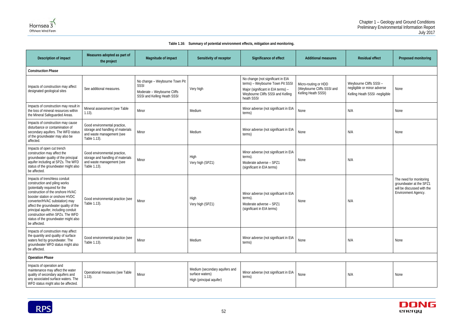



### **Table 1.16: Summary of potential environment effects, mitigation and monitoring.**

<span id="page-18-0"></span>

| Description of impact                                                                                                                                                                                                                                                                                                                                                                  | Measures adopted as part of<br>the project                                                                     | Magnitude of impact                                                                                  | Sensitivity of receptor                                                       | Significance of effect                                                                                                                                         | <b>Additional measures</b>                                                | <b>Residual effect</b>                                                                  | Proposed monitoring                                                                                     |  |
|----------------------------------------------------------------------------------------------------------------------------------------------------------------------------------------------------------------------------------------------------------------------------------------------------------------------------------------------------------------------------------------|----------------------------------------------------------------------------------------------------------------|------------------------------------------------------------------------------------------------------|-------------------------------------------------------------------------------|----------------------------------------------------------------------------------------------------------------------------------------------------------------|---------------------------------------------------------------------------|-----------------------------------------------------------------------------------------|---------------------------------------------------------------------------------------------------------|--|
| <b>Construction Phase</b>                                                                                                                                                                                                                                                                                                                                                              |                                                                                                                |                                                                                                      |                                                                               |                                                                                                                                                                |                                                                           |                                                                                         |                                                                                                         |  |
| Impacts of construction may affect<br>designated geological sites                                                                                                                                                                                                                                                                                                                      | See additional measures.                                                                                       | No change - Weybourne Town Pit<br>SSSI<br>Moderate - Weybourne Cliffs<br>SSSI and Kelling Heath SSSI | Very high                                                                     | No change (not significant in EIA<br>terms) - Weybourne Town Pit SSSI<br>Major (significant in EIA terms) -<br>Weybourne Cliffs SSSI and Kelling<br>heath SSSI | Micro-routing or HDD<br>(Weybourne Cliffs SSSI and<br>Kelling Heath SSSI) | Weybourne Cliffs SSSI-<br>negligible or minor adverse<br>Kelling Heath SSSI -negligible | None                                                                                                    |  |
| Impacts of construction may result in<br>the loss of mineral resources within<br>the Mineral Safeguarded Areas.                                                                                                                                                                                                                                                                        | Mineral assessment (see Table<br>$1.13$ ).                                                                     | Minor                                                                                                | Medium                                                                        | Minor adverse (not significant in EIA<br>terms)                                                                                                                | None                                                                      | N/A                                                                                     | None                                                                                                    |  |
| Impacts of construction may cause<br>disturbance or contamination of<br>secondary aquifers. The WFD status<br>of the groundwater may also be<br>affected.                                                                                                                                                                                                                              | Good environmental practice,<br>storage and handling of materials<br>and waste management (see<br>Table 1.13). | Minor                                                                                                | Medium                                                                        | Minor adverse (not significant in EIA<br>terms)                                                                                                                | None                                                                      | N/A                                                                                     | None                                                                                                    |  |
| Impacts of open cut trench<br>construction may affect the<br>groundwater quality of the principal<br>aquifer including at SPZs. The WFD<br>status of the groundwater might also<br>be affected.                                                                                                                                                                                        | Good environmental practice,<br>storage and handling of materials<br>and waste management (see<br>Table 1.13). | Minor                                                                                                | High<br>Very high (SPZ1)                                                      | Minor adverse (not significant in EIA<br>terms).<br>Moderate adverse - SPZ1<br>(significant in EIA terms)                                                      | None                                                                      | N/A                                                                                     |                                                                                                         |  |
| Impacts of trenchless conduit<br>construction and piling works<br>(potentially required for the<br>construction of the onshore HVAC<br>booster station or onshore HVDC<br>converter/HVAC substation) may<br>affect the groundwater quality of the<br>principal aquifer, including conduit<br>construction within SPZs. The WFD<br>status of the groundwater might also<br>be affected. | Good environmental practice (see<br>Table 1.13).                                                               | Minor                                                                                                | High<br>Very high (SPZ1)                                                      | Minor adverse (not significant in EIA<br>terms).<br>Moderate adverse - SPZ1<br>(significant in EIA terms)                                                      | None                                                                      | N/A                                                                                     | The need for monitoring<br>groundwater at the SPZ1<br>will be discussed with the<br>Environment Agency. |  |
| Impacts of construction may affect<br>the quantity and quality of surface<br>waters fed by groundwater. The<br>groundwater WFD status might also<br>be affected.                                                                                                                                                                                                                       | Good environmental practice (see<br>Table 1.13).                                                               | Minor                                                                                                | Medium                                                                        | Minor adverse (not significant in EIA<br>terms)                                                                                                                | None                                                                      | N/A                                                                                     | None                                                                                                    |  |
| <b>Operation Phase</b>                                                                                                                                                                                                                                                                                                                                                                 |                                                                                                                |                                                                                                      |                                                                               |                                                                                                                                                                |                                                                           |                                                                                         |                                                                                                         |  |
| Impacts of operation and<br>maintenance may affect the water<br>quality of secondary aquifers and<br>any associated surface waters. The<br>WFD status might also be affected.                                                                                                                                                                                                          | Operational measures (see Table<br>$1.13$ ).                                                                   | Minor                                                                                                | Medium (secondary aquifers and<br>surface waters)<br>High (principal aquifer) | Minor adverse (not significant in EIA<br>terms)                                                                                                                | None                                                                      | N/A                                                                                     | None                                                                                                    |  |

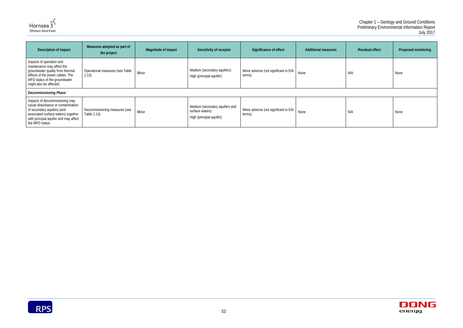



| Description of impact                                                                                                                                                                                 | Measures adopted as part of<br>the project    | Magnitude of impact | Sensitivity of receptor                                                       | Significance of effect                          | <b>Additional measures</b> | <b>Residual effect</b> | <b>Proposed monitoring</b> |
|-------------------------------------------------------------------------------------------------------------------------------------------------------------------------------------------------------|-----------------------------------------------|---------------------|-------------------------------------------------------------------------------|-------------------------------------------------|----------------------------|------------------------|----------------------------|
| Impacts of operation and<br>maintenance may affect the<br>groundwater quality from thermal<br>effects of the power cables. The<br>WFD status of the groundwater<br>might also be affected.            | Operational measures (see Table<br>$1.13$ ).  | Minor               | Medium (secondary aquifers)<br>High (principal aquifer)                       | Minor adverse (not significant in EIA<br>terms) | None                       | N/A                    | None                       |
| <b>Decommissioning Phase</b>                                                                                                                                                                          |                                               |                     |                                                                               |                                                 |                            |                        |                            |
| Impacts of decommissioning may<br>cause disturbance or contamination<br>of secondary aquifers (and<br>associated surface waters) together<br>with principal aquifer and may affect<br>the WFD status. | Decommissioning measures (see<br>Table 1.13). | Minor               | Medium (secondary aquifers and<br>surface waters)<br>High (principal aquifer) | Minor adverse (not significant in EIA<br>terms) | None                       | N/A                    | None                       |